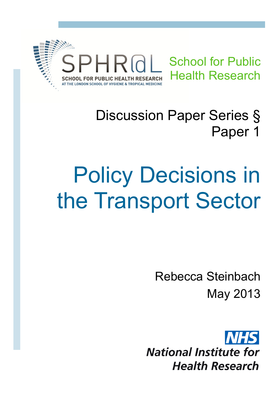

## Discussion Paper Series § Paper 1

# Policy Decisions in the Transport Sector

Rebecca Steinbach May 2013

**National Institute for Health Research**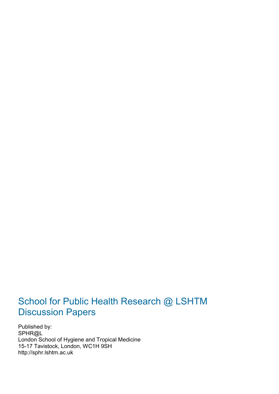### School for Public Health Research @ LSHTM Discussion Papers

Published by: SPHR@L London School of Hygiene and Tropical Medicine 15-17 Tavistock, London, WC1H 9SH http://sphr.lshtm.ac.uk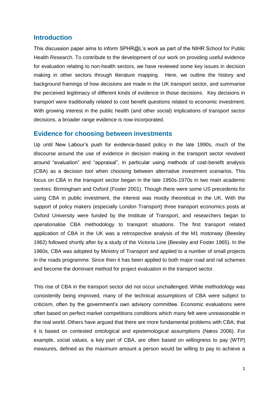#### **Introduction**

This discussion paper aims to inform SPHR@L's work as part of the NIHR School for Public Health Research. To contribute to the development of our work on providing useful evidence for evaluation relating to non-health sectors, we have reviewed some key issues in decision making in other sectors through literature mapping. Here, we outline the history and background framings of how decisions are made in the UK transport sector, and summarise the perceived legitimacy of different kinds of evidence in those decisions. Key decisions in transport were traditionally related to cost benefit questions related to economic investment. With growing interest in the public health (and other social) implications of transport sector decisions, a broader range evidence is now incorporated.

#### **Evidence for choosing between investments**

Up until New Labour's push for evidence-based policy in the late 1990s, much of the discourse around the use of evidence in decision making in the transport sector revolved around "evaluation" and "appraisal", in particular using methods of cost-benefit analysis (CBA) as a decision tool when choosing between alternative investment scenarios. This focus on CBA in the transport sector began in the late 1950s-1970s in two main academic centres: Birmingham and Oxford [\(Foster 2001\)](#page-7-0). Though there were some US precedents for using CBA in public investment, the interest was mostly theoretical in the UK. With the support of policy makers (especially London Transport) three transport economics posts at Oxford University were funded by the Institute of Transport, and researchers began to operationalise CBA methodology to transport situations. The first transport related application of CBA in the UK was a retrospective analysis of the M1 motorway [\(Beesley](#page-7-1)  [1962\)](#page-7-1) followed shortly after by a study of the Victoria Line [\(Beesley and Foster 1965\)](#page-7-2). In the 1960s, CBA was adopted by Ministry of Transport and applied to a number of small projects in the roads programme. Since then it has been applied to both major road and rail schemes and become the dominant method for project evaluation in the transport sector.

This rise of CBA in the transport sector did not occur unchallenged. While methodology was consistently being improved, many of the technical assumptions of CBA were subject to criticism, often by the government's own advisory committee. Economic evaluations were often based on perfect market competitions conditions which many felt were unreasonable in the real world. Others have argued that there are more fundamental problems with CBA; that it is based on contested ontological and epistemological assumptions [\(Næss 2006\)](#page-7-3). For example, social values, a key part of CBA, are often based on willingness to pay (WTP) measures, defined as the maximum amount a person would be willing to pay to achieve a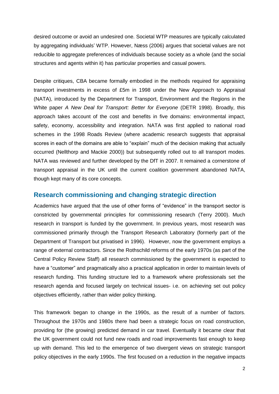desired outcome or avoid an undesired one. Societal WTP measures are typically calculated by aggregating individuals' WTP. However, Næss (2006) argues that societal values are not reducible to aggregate preferences of individuals because society as a whole (and the social structures and agents within it) has particular properties and casual powers.

Despite critiques, CBA became formally embodied in the methods required for appraising transport investments in excess of £5m in 1998 under the New Approach to Appraisal (NATA), introduced by the Department for Transport, Environment and the Regions in the White paper *A New Deal for Transport: Better for Everyone* [\(DETR 1998\)](#page-7-4). Broadly, this approach takes account of the cost and benefits in five domains: environmental impact, safety, economy, accessibility and integration. NATA was first applied to national road schemes in the 1998 Roads Review (where academic research suggests that appraisal scores in each of the domains are able to "explain" much of the decision making that actually occurred [\(Nellthorp and Mackie 2000\)](#page-7-5)) but subsequently rolled out to all transport modes. NATA was reviewed and further developed by the DfT in 2007. It remained a cornerstone of transport appraisal in the UK until the current coalition government abandoned NATA, though kept many of its core concepts.

#### **Research commissioning and changing strategic direction**

Academics have argued that the use of other forms of "evidence" in the transport sector is constricted by governmental principles for commissioning research [\(Terry 2000\)](#page-7-6). Much research in transport is funded by the government. In previous years, most research was commissioned primarily through the Transport Research Laboratory (formerly part of the Department of Transport but privatised in 1996). However, now the government employs a range of external contractors. Since the Rothschild reforms of the early 1970s (as part of the Central Policy Review Staff) all research commissioned by the government is expected to have a "customer" and pragmatically also a practical application in order to maintain levels of research funding. This funding structure led to a framework where professionals set the research agenda and focused largely on technical issues- i.e. on achieving set out policy objectives efficiently, rather than wider policy thinking.

This framework began to change in the 1990s, as the result of a number of factors. Throughout the 1970s and 1980s there had been a strategic focus on road construction, providing for (the growing) predicted demand in car travel. Eventually it became clear that the UK government could not fund new roads and road improvements fast enough to keep up with demand. This led to the emergence of two divergent views on strategic transport policy objectives in the early 1990s. The first focused on a reduction in the negative impacts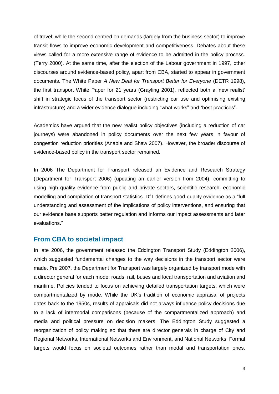of travel; while the second centred on demands (largely from the business sector) to improve transit flows to improve economic development and competitiveness. Debates about these views called for a more extensive range of evidence to be admitted in the policy process. [\(Terry 2000\)](#page-7-6). At the same time, after the election of the Labour government in 1997, other discourses around evidence-based policy, apart from CBA, started to appear in government documents. The White Paper *A New Deal for Transport Better for Everyone* (DETR 1998), the first transport White Paper for 21 years (Grayling 2001), reflected both a 'new realist' shift in strategic focus of the transport sector (restricting car use and optimising existing infrastructure) and a wider evidence dialogue including "what works" and "best practices".

Academics have argued that the new realist policy objectives (including a reduction of car journeys) were abandoned in policy documents over the next few years in favour of congestion reduction priorities [\(Anable and Shaw 2007\)](#page-7-7). However, the broader discourse of evidence-based policy in the transport sector remained.

In 2006 The Department for Transport released an Evidence and Research Strategy [\(Department for Transport 2006\)](#page-7-8) (updating an earlier version from 2004), committing to using high quality evidence from public and private sectors, scientific research, economic modelling and compilation of transport statistics. DfT defines good-quality evidence as a "full understanding and assessment of the implications of policy interventions, and ensuring that our evidence base supports better regulation and informs our impact assessments and later evaluations."

#### **From CBA to societal impact**

In late 2006, the government released the Eddington Transport Study [\(Eddington 2006\)](#page-7-9), which suggested fundamental changes to the way decisions in the transport sector were made. Pre 2007, the Department for Transport was largely organized by transport mode with a director general for each mode: roads, rail, buses and local transportation and aviation and maritime. Policies tended to focus on achieving detailed transportation targets, which were compartmentalized by mode. While the UK's tradition of economic appraisal of projects dates back to the 1950s, results of appraisals did not always influence policy decisions due to a lack of intermodal comparisons (because of the compartmentalized approach) and media and political pressure on decision makers. The Eddington Study suggested a reorganization of policy making so that there are director generals in charge of City and Regional Networks, International Networks and Environment, and National Networks. Formal targets would focus on societal outcomes rather than modal and transportation ones.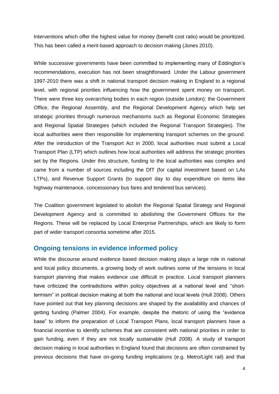Interventions which offer the highest value for money (benefit cost ratio) would be prioritized. This has been called a merit-based approach to decision making [\(Jones 2010\)](#page-7-10).

While successive governments have been committed to implementing many of Eddington's recommendations, execution has not been straightforward. Under the Labour government 1997-2010 there was a shift in national transport decision making in England to a regional level, with regional priorities influencing how the government spent money on transport. There were three key overarching bodies in each region (outside London): the Government Office, the Regional Assembly, and the Regional Development Agency which help set strategic priorities through numerous mechanisms such as Regional Economic Strategies and Regional Spatial Strategies (which included the Regional Transport Strategies). The local authorities were then responsible for implementing transport schemes on the ground. After the introduction of the Transport Act in 2000, local authorities must submit a Local Transport Plan (LTP) which outlines how local authorities will address the strategic priorities set by the Regions. Under this structure, funding to the local authorities was complex and came from a number of sources including the DfT (for capital investment based on LAs LTPs), and Revenue Support Grants (to support day to day expenditure on items like highway maintenance, concessionary bus fares and tendered bus services).

The Coalition government legislated to abolish the Regional Spatial Strategy and Regional Development Agency and is committed to abolishing the Government Offices for the Regions. These will be replaced by Local Enterprise Partnerships, which are likely to form part of wider transport consortia sometime after 2015.

#### **Ongoing tensions in evidence informed policy**

While the discourse around evidence based decision making plays a large role in national and local policy documents, a growing body of work outlines some of the tensions in local transport planning that makes evidence use difficult in practice. Local transport planners have criticized the contradictions within policy objectives at a national level and "shorttermism" in political decision making at both the national and local levels [\(Hull 2008\)](#page-7-11). Others have pointed out that key planning decisions are shaped by the availability and chances of getting funding [\(Palmer 2004\)](#page-7-12). For example, despite the rhetoric of using the "evidence base" to inform the preparation of Local Transport Plans, local transport planners have a financial incentive to identify schemes that are consistent with national priorities in order to gain funding, even if they are not locally sustainable (Hull 2008). A study of transport decision making in local authorities in England found that decisions are often constrained by previous decisions that have on-going funding implications (e.g. Metro/Light rail) and that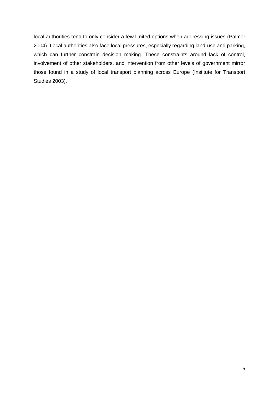local authorities tend to only consider a few limited options when addressing issues [\(Palmer](#page-7-12)  [2004\)](#page-7-12). Local authorities also face local pressures, especially regarding land-use and parking, which can further constrain decision making. These constraints around lack of control, involvement of other stakeholders, and intervention from other levels of government mirror those found in a study of local transport planning across Europe [\(Institute for Transport](#page-7-13)  [Studies 2003\)](#page-7-13).